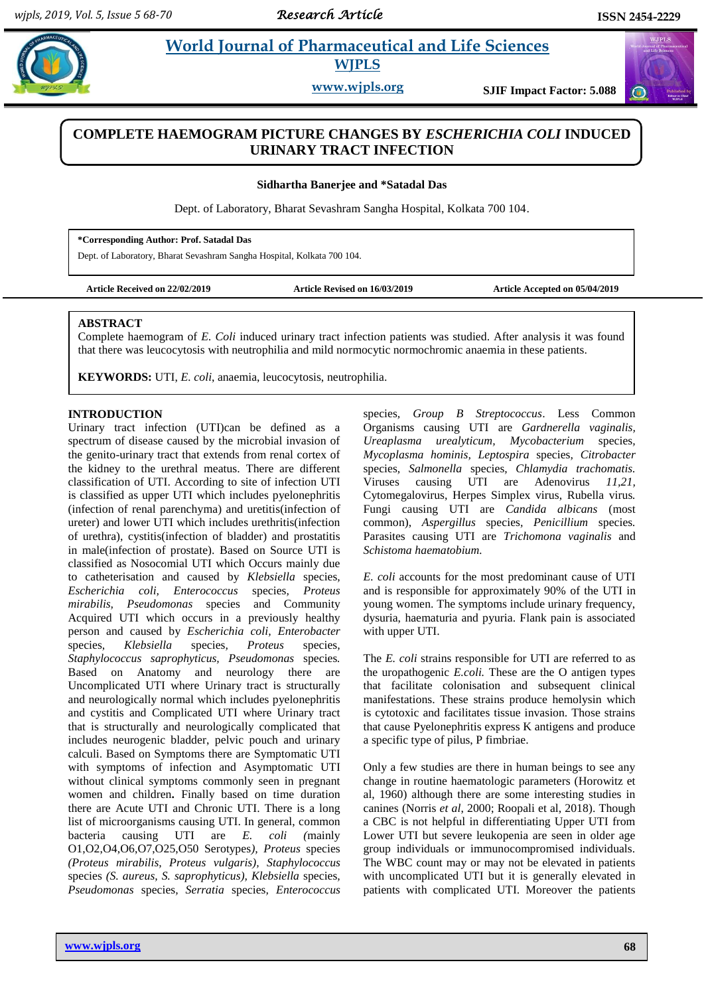$\omega$ 

# **Example 3 2 Morld Journal of Pharmaceutical and Life Sciences WJPLS**

**www.wjpls.org SJIF Impact Factor: 5.088**

## **COMPLETE HAEMOGRAM PICTURE CHANGES BY** *ESCHERICHIA COLI* **INDUCED URINARY TRACT INFECTION**

**Sidhartha Banerjee and \*Satadal Das**

Dept. of Laboratory, Bharat Sevashram Sangha Hospital, Kolkata 700 104.

**\*Corresponding Author: Prof. Satadal Das**

Dept. of Laboratory, Bharat Sevashram Sangha Hospital, Kolkata 700 104.

**Article Received on 22/02/2019 Article Revised on 16/03/2019 Article Accepted on 05/04/2019**

#### **ABSTRACT**

Complete haemogram of *E. Coli* induced urinary tract infection patients was studied. After analysis it was found that there was leucocytosis with neutrophilia and mild normocytic normochromic anaemia in these patients.

**KEYWORDS:** UTI, *E. coli*, anaemia, leucocytosis, neutrophilia.

### **INTRODUCTION**

Urinary tract infection (UTI)can be defined as a spectrum of disease caused by the microbial invasion of the genito-urinary tract that extends from renal cortex of the kidney to the urethral meatus. There are different classification of UTI. According to site of infection UTI is classified as upper UTI which includes pyelonephritis (infection of renal parenchyma) and uretitis(infection of ureter) and lower UTI which includes urethritis(infection of urethra), cystitis(infection of bladder) and prostatitis in male(infection of prostate). Based on Source UTI is classified as Nosocomial UTI which Occurs mainly due to catheterisation and caused by *Klebsiella* species*, Escherichia coli, Enterococcus* species*, Proteus mirabilis, Pseudomonas* species and Community Acquired UTI which occurs in a previously healthy person and caused by *Escherichia coli, Enterobacter*  species*, Klebsiella* species*, Proteus* species*, Staphylococcus saprophyticus, Pseudomonas* species*.* Based on Anatomy and neurology there are Uncomplicated UTI where Urinary tract is structurally and neurologically normal which includes pyelonephritis and cystitis and Complicated UTI where Urinary tract that is structurally and neurologically complicated that includes neurogenic bladder, pelvic pouch and urinary calculi. Based on Symptoms there are Symptomatic UTI with symptoms of infection and Asymptomatic UTI without clinical symptoms commonly seen in pregnant women and children**.** Finally based on time duration there are Acute UTI and Chronic UTI. There is a long list of microorganisms causing UTI. In general, common bacteria causing UTI are *E. coli (*mainly O1,O2,O4,O6,O7,O25,O50 Serotypes*), Proteus* species *(Proteus mirabilis, Proteus vulgaris), Staphylococcus*  species *(S. aureus, S. saprophyticus), Klebsiella* species*, Pseudomonas* species*, Serratia* species*, Enterococcus*  species*, Group B Streptococcus*. Less Common Organisms causing UTI are *Gardnerella vaginalis, Ureaplasma urealyticum, Mycobacterium* species*, Mycoplasma hominis, Leptospira* species*, Citrobacter*  species*, Salmonella* species*, Chlamydia trachomatis.*  Viruses causing UTI are Adenovirus *11,21,*  Cytomegalovirus, Herpes Simplex virus, Rubella virus*.*  Fungi causing UTI are *Candida albicans* (most common), *Aspergillus* species*, Penicillium* species*.*  Parasites causing UTI are *Trichomona vaginalis* and *Schistoma haematobium.*

*E. coli* accounts for the most predominant cause of UTI and is responsible for approximately 90% of the UTI in young women. The symptoms include urinary frequency, dysuria, haematuria and pyuria. Flank pain is associated with upper UTI.

The *E. coli* strains responsible for UTI are referred to as the uropathogenic *E.coli.* These are the O antigen types that facilitate colonisation and subsequent clinical manifestations. These strains produce hemolysin which is cytotoxic and facilitates tissue invasion. Those strains that cause Pyelonephritis express K antigens and produce a specific type of pilus, P fimbriae.

Only a few studies are there in human beings to see any change in routine haematologic parameters (Horowitz et al, 1960) although there are some interesting studies in canines (Norris *et al*, 2000; Roopali et al, 2018). Though a CBC is not helpful in differentiating Upper UTI from Lower UTI but severe leukopenia are seen in older age group individuals or immunocompromised individuals. The WBC count may or may not be elevated in patients with uncomplicated UTI but it is generally elevated in patients with complicated UTI. Moreover the patients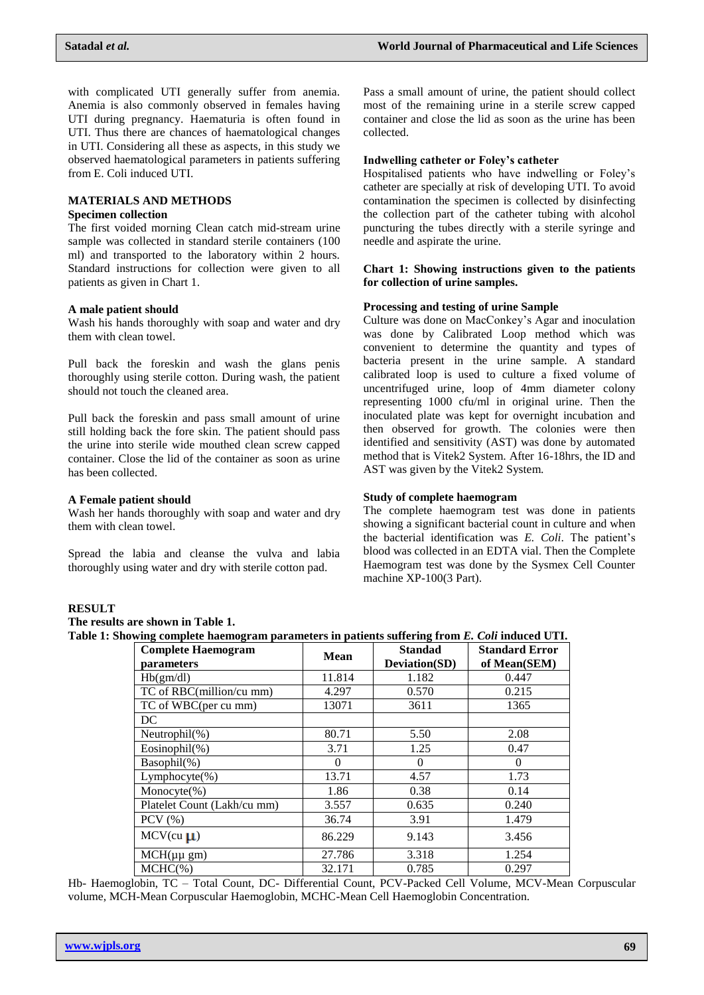with complicated UTI generally suffer from anemia. Anemia is also commonly observed in females having UTI during pregnancy. Haematuria is often found in UTI. Thus there are chances of haematological changes in UTI. Considering all these as aspects, in this study we observed haematological parameters in patients suffering from E. Coli induced UTI.

## **MATERIALS AND METHODS**

## **Specimen collection**

The first voided morning Clean catch mid-stream urine sample was collected in standard sterile containers (100 ml) and transported to the laboratory within 2 hours. Standard instructions for collection were given to all patients as given in Chart 1.

### **A male patient should**

Wash his hands thoroughly with soap and water and dry them with clean towel.

Pull back the foreskin and wash the glans penis thoroughly using sterile cotton. During wash, the patient should not touch the cleaned area.

Pull back the foreskin and pass small amount of urine still holding back the fore skin. The patient should pass the urine into sterile wide mouthed clean screw capped container. Close the lid of the container as soon as urine has been collected.

#### **A Female patient should**

Wash her hands thoroughly with soap and water and dry them with clean towel.

Spread the labia and cleanse the vulva and labia thoroughly using water and dry with sterile cotton pad.

Pass a small amount of urine, the patient should collect most of the remaining urine in a sterile screw capped container and close the lid as soon as the urine has been collected.

#### **Indwelling catheter or Foley's catheter**

Hospitalised patients who have indwelling or Foley's catheter are specially at risk of developing UTI. To avoid contamination the specimen is collected by disinfecting the collection part of the catheter tubing with alcohol puncturing the tubes directly with a sterile syringe and needle and aspirate the urine.

## **Chart 1: Showing instructions given to the patients for collection of urine samples.**

### **Processing and testing of urine Sample**

Culture was done on MacConkey's Agar and inoculation was done by Calibrated Loop method which was convenient to determine the quantity and types of bacteria present in the urine sample. A standard calibrated loop is used to culture a fixed volume of uncentrifuged urine, loop of 4mm diameter colony representing 1000 cfu/ml in original urine. Then the inoculated plate was kept for overnight incubation and then observed for growth. The colonies were then identified and sensitivity (AST) was done by automated method that is Vitek2 System. After 16-18hrs, the ID and AST was given by the Vitek2 System.

## **Study of complete haemogram**

The complete haemogram test was done in patients showing a significant bacterial count in culture and when the bacterial identification was *E. Coli*. The patient's blood was collected in an EDTA vial. Then the Complete Haemogram test was done by the Sysmex Cell Counter machine XP-100(3 Part).

## **RESULT**

**The results are shown in Table 1. Table 1: Showing complete haemogram parameters in patients suffering from** *E. Coli* **induced UTI.**

| my complete memogram parameters in patients suitering from 20 cow matteu ( |        |                                        |                                       |
|----------------------------------------------------------------------------|--------|----------------------------------------|---------------------------------------|
| <b>Complete Haemogram</b><br>parameters                                    | Mean   | <b>Standad</b><br><b>Deviation(SD)</b> | <b>Standard Error</b><br>of Mean(SEM) |
| Hb(gm/dl)                                                                  | 11.814 | 1.182                                  | 0.447                                 |
| TC of RBC(million/cu mm)                                                   | 4.297  | 0.570                                  | 0.215                                 |
| TC of WBC(per cu mm)                                                       | 13071  | 3611                                   | 1365                                  |
| DC                                                                         |        |                                        |                                       |
| Neutrophil $(\%)$                                                          | 80.71  | 5.50                                   | 2.08                                  |
| Eosinophil $(\%)$                                                          | 3.71   | 1.25                                   | 0.47                                  |
| $Basophil(\%)$                                                             | 0      | $\Omega$                               | $\Omega$                              |
| $Lymphocyte(\% )$                                                          | 13.71  | 4.57                                   | 1.73                                  |
| Monocyte $(\%)$                                                            | 1.86   | 0.38                                   | 0.14                                  |
| Platelet Count (Lakh/cu mm)                                                | 3.557  | 0.635                                  | 0.240                                 |
| $PCV$ $(\% )$                                                              | 36.74  | 3.91                                   | 1.479                                 |
| $MCV$ (cu $\mu$ )                                                          | 86.229 | 9.143                                  | 3.456                                 |
| $MCH(\mu\mu gm)$                                                           | 27.786 | 3.318                                  | 1.254                                 |
| $MCHC(\%)$                                                                 | 32.171 | 0.785                                  | 0.297                                 |

Hb- Haemoglobin, TC – Total Count, DC- Differential Count, PCV-Packed Cell Volume, MCV-Mean Corpuscular volume, MCH-Mean Corpuscular Haemoglobin, MCHC-Mean Cell Haemoglobin Concentration.